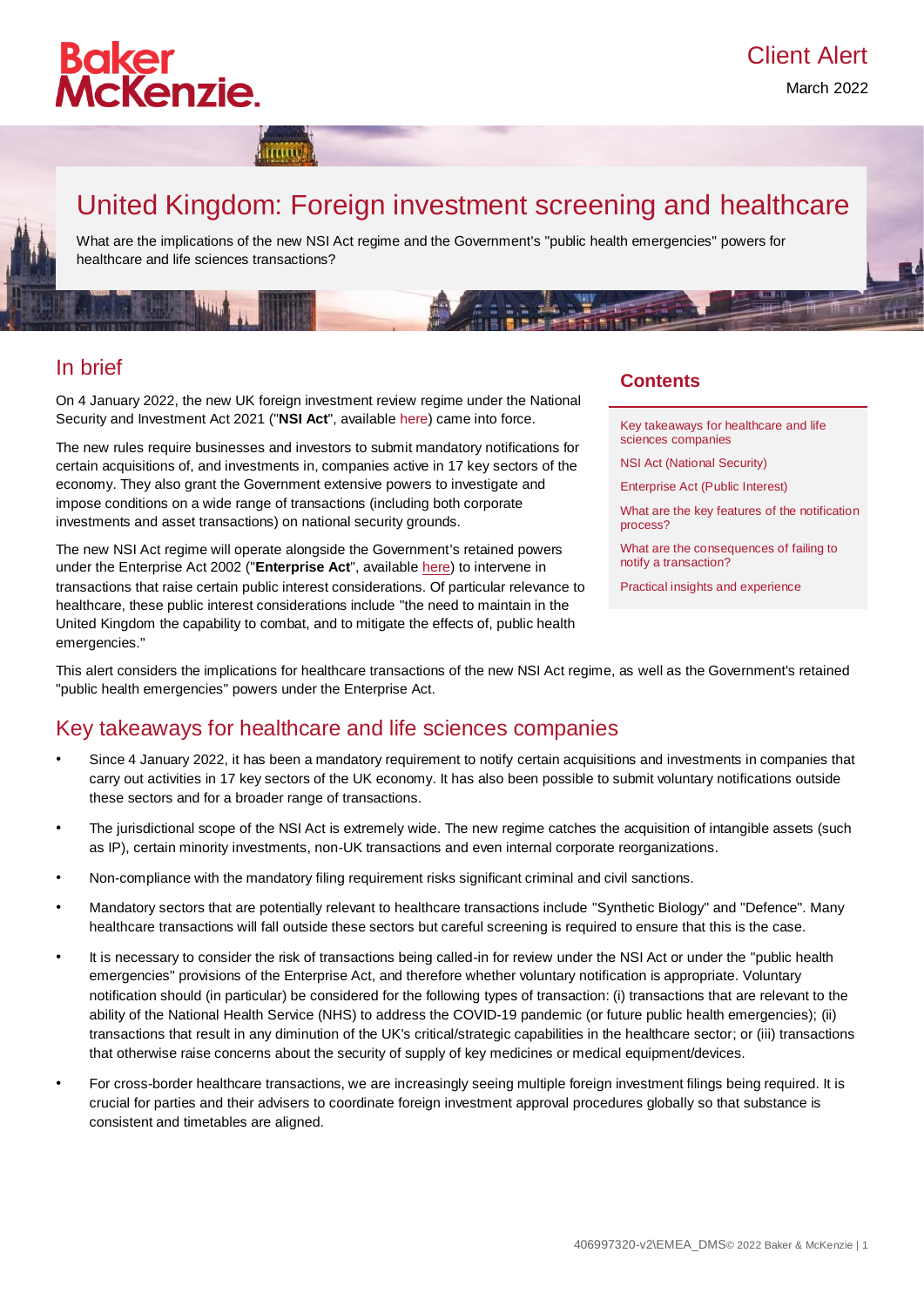

March 2022

# United Kingdom: Foreign investment screening and healthcare

What are the implications of the new NSI Act regime and the Government's "public health emergencies" powers for healthcare and life sciences transactions?

### In brief

On 4 January 2022, the new UK foreign investment review regime under the National Security and Investment Act 2021 ("**NSI Act**", availabl[e here\)](https://www.legislation.gov.uk/ukpga/2021/25/contents/enacted) came into force.

The new rules require businesses and investors to submit mandatory notifications for certain acquisitions of, and investments in, companies active in 17 key sectors of the economy. They also grant the Government extensive powers to investigate and impose conditions on a wide range of transactions (including both corporate investments and asset transactions) on national security grounds.

The new NSI Act regime will operate alongside the Government's retained powers under the Enterprise Act 2002 ("**Enterprise Act**", available [here\)](https://www.legislation.gov.uk/ukpga/2002/40/contents) to intervene in transactions that raise certain public interest considerations. Of particular relevance to healthcare, these public interest considerations include "the need to maintain in the United Kingdom the capability to combat, and to mitigate the effects of, public health emergencies."

### **Contents**

[Key takeaways for healthcare and life](#page-0-0)  [sciences companies](#page-0-0)

[NSI Act \(National Security\)](#page-0-1)

[Enterprise Act \(Public Interest\)](#page-2-0)

[What are the key features of the notification](#page-2-1)  [process?](#page-2-1)

[What are the consequences of failing to](#page-4-0)  [notify a transaction?](#page-4-0)

[Practical insights and experience](#page-4-1)

This alert considers the implications for healthcare transactions of the new NSI Act regime, as well as the Government's retained "public health emergencies" powers under the Enterprise Act.

### <span id="page-0-0"></span>Key takeaways for healthcare and life sciences companies

- Since 4 January 2022, it has been a mandatory requirement to notify certain acquisitions and investments in companies that carry out activities in 17 key sectors of the UK economy. It has also been possible to submit voluntary notifications outside these sectors and for a broader range of transactions.
- The jurisdictional scope of the NSI Act is extremely wide. The new regime catches the acquisition of intangible assets (such as IP), certain minority investments, non-UK transactions and even internal corporate reorganizations.
- Non-compliance with the mandatory filing requirement risks significant criminal and civil sanctions.
- Mandatory sectors that are potentially relevant to healthcare transactions include "Synthetic Biology" and "Defence". Many healthcare transactions will fall outside these sectors but careful screening is required to ensure that this is the case.
- It is necessary to consider the risk of transactions being called-in for review under the NSI Act or under the "public health emergencies" provisions of the Enterprise Act, and therefore whether voluntary notification is appropriate. Voluntary notification should (in particular) be considered for the following types of transaction: (i) transactions that are relevant to the ability of the National Health Service (NHS) to address the COVID-19 pandemic (or future public health emergencies); (ii) transactions that result in any diminution of the UK's critical/strategic capabilities in the healthcare sector; or (iii) transactions that otherwise raise concerns about the security of supply of key medicines or medical equipment/devices.
- <span id="page-0-1"></span>• For cross-border healthcare transactions, we are increasingly seeing multiple foreign investment filings being required. It is crucial for parties and their advisers to coordinate foreign investment approval procedures globally so that substance is consistent and timetables are aligned.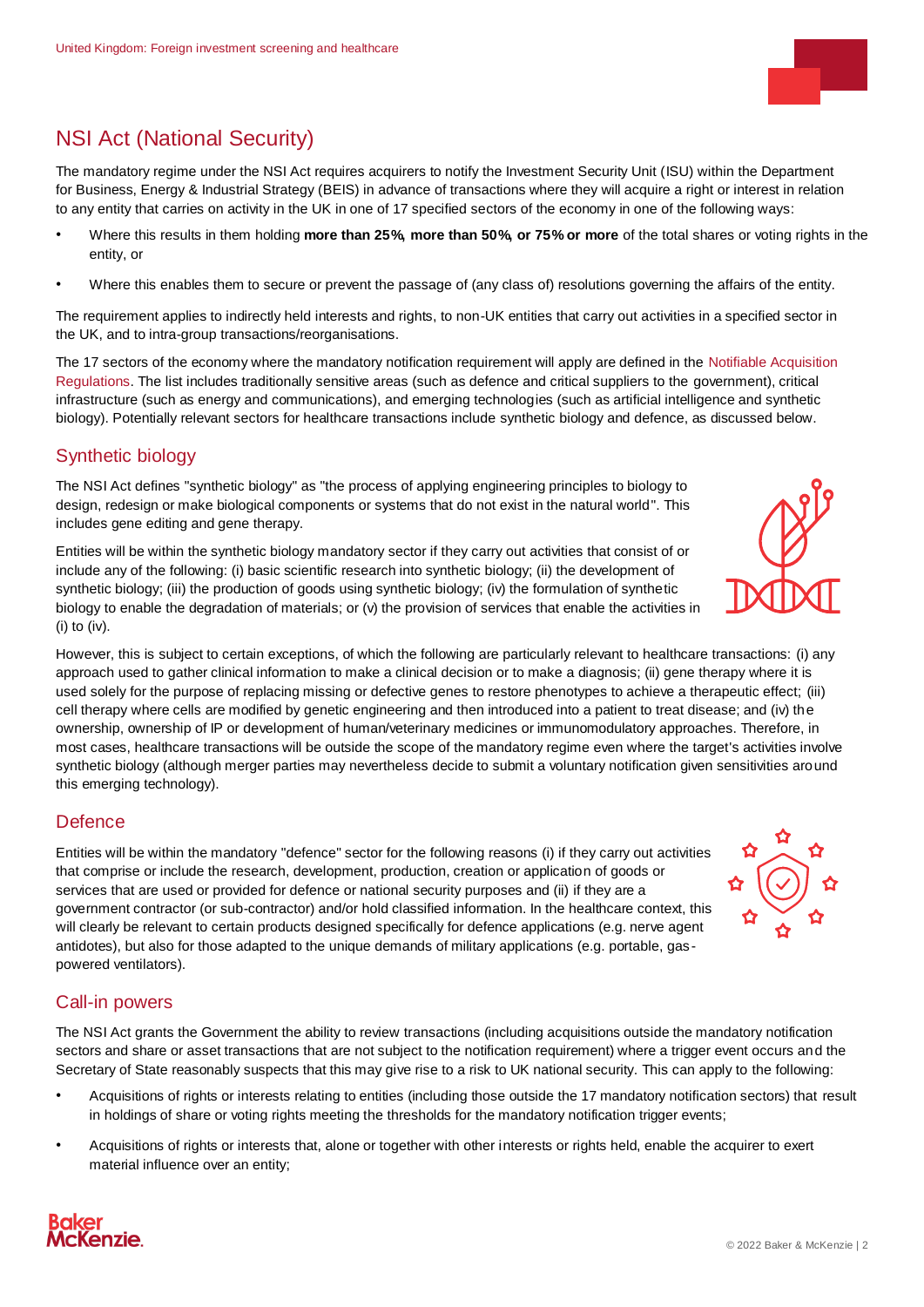

# NSI Act (National Security)

The mandatory regime under the NSI Act requires acquirers to notify the Investment Security Unit (ISU) within the Department for Business, Energy & Industrial Strategy (BEIS) in advance of transactions where they will acquire a right or interest in relation to any entity that carries on activity in the UK in one of 17 specified sectors of the economy in one of the following ways:

- Where this results in them holding **more than 25%, more than 50%, or 75% or more** of the total shares or voting rights in the entity, or
- Where this enables them to secure or prevent the passage of (any class of) resolutions governing the affairs of the entity.

The requirement applies to indirectly held interests and rights, to non-UK entities that carry out activities in a specified sector in the UK, and to intra-group transactions/reorganisations.

The 17 sectors of the economy where the mandatory notification requirement will apply are defined in the [Notifiable Acquisition](https://www.legislation.gov.uk/uksi/2021/1264/pdfs/uksi_20211264_en.pdf)  [Regulations.](https://www.legislation.gov.uk/uksi/2021/1264/pdfs/uksi_20211264_en.pdf) The list includes traditionally sensitive areas (such as defence and critical suppliers to the government), critical infrastructure (such as energy and communications), and emerging technologies (such as artificial intelligence and synthetic biology). Potentially relevant sectors for healthcare transactions include synthetic biology and defence, as discussed below.

### Synthetic biology

The NSI Act defines "synthetic biology" as "the process of applying engineering principles to biology to design, redesign or make biological components or systems that do not exist in the natural world". This includes gene editing and gene therapy.

Entities will be within the synthetic biology mandatory sector if they carry out activities that consist of or include any of the following: (i) basic scientific research into synthetic biology; (ii) the development of synthetic biology; (iii) the production of goods using synthetic biology; (iv) the formulation of synthetic biology to enable the degradation of materials; or (v) the provision of services that enable the activities in (i) to (iv).

However, this is subject to certain exceptions, of which the following are particularly relevant to healthcare transactions: (i) any approach used to gather clinical information to make a clinical decision or to make a diagnosis; (ii) gene therapy where it is used solely for the purpose of replacing missing or defective genes to restore phenotypes to achieve a therapeutic effect; (iii) cell therapy where cells are modified by genetic engineering and then introduced into a patient to treat disease; and (iv) the ownership, ownership of IP or development of human/veterinary medicines or immunomodulatory approaches. Therefore, in most cases, healthcare transactions will be outside the scope of the mandatory regime even where the target's activities involve synthetic biology (although merger parties may nevertheless decide to submit a voluntary notification given sensitivities around this emerging technology).

### **Defence**

Entities will be within the mandatory "defence" sector for the following reasons (i) if they carry out activities that comprise or include the research, development, production, creation or application of goods or services that are used or provided for defence or national security purposes and (ii) if they are a government contractor (or sub-contractor) and/or hold classified information. In the healthcare context, this will clearly be relevant to certain products designed specifically for defence applications (e.g. nerve agent antidotes), but also for those adapted to the unique demands of military applications (e.g. portable, gaspowered ventilators).

### Call-in powers

The NSI Act grants the Government the ability to review transactions (including acquisitions outside the mandatory notification sectors and share or asset transactions that are not subject to the notification requirement) where a trigger event occurs and the Secretary of State reasonably suspects that this may give rise to a risk to UK national security. This can apply to the following:

- Acquisitions of rights or interests relating to entities (including those outside the 17 mandatory notification sectors) that result in holdings of share or voting rights meeting the thresholds for the mandatory notification trigger events;
- Acquisitions of rights or interests that, alone or together with other interests or rights held, enable the acquirer to exert material influence over an entity;



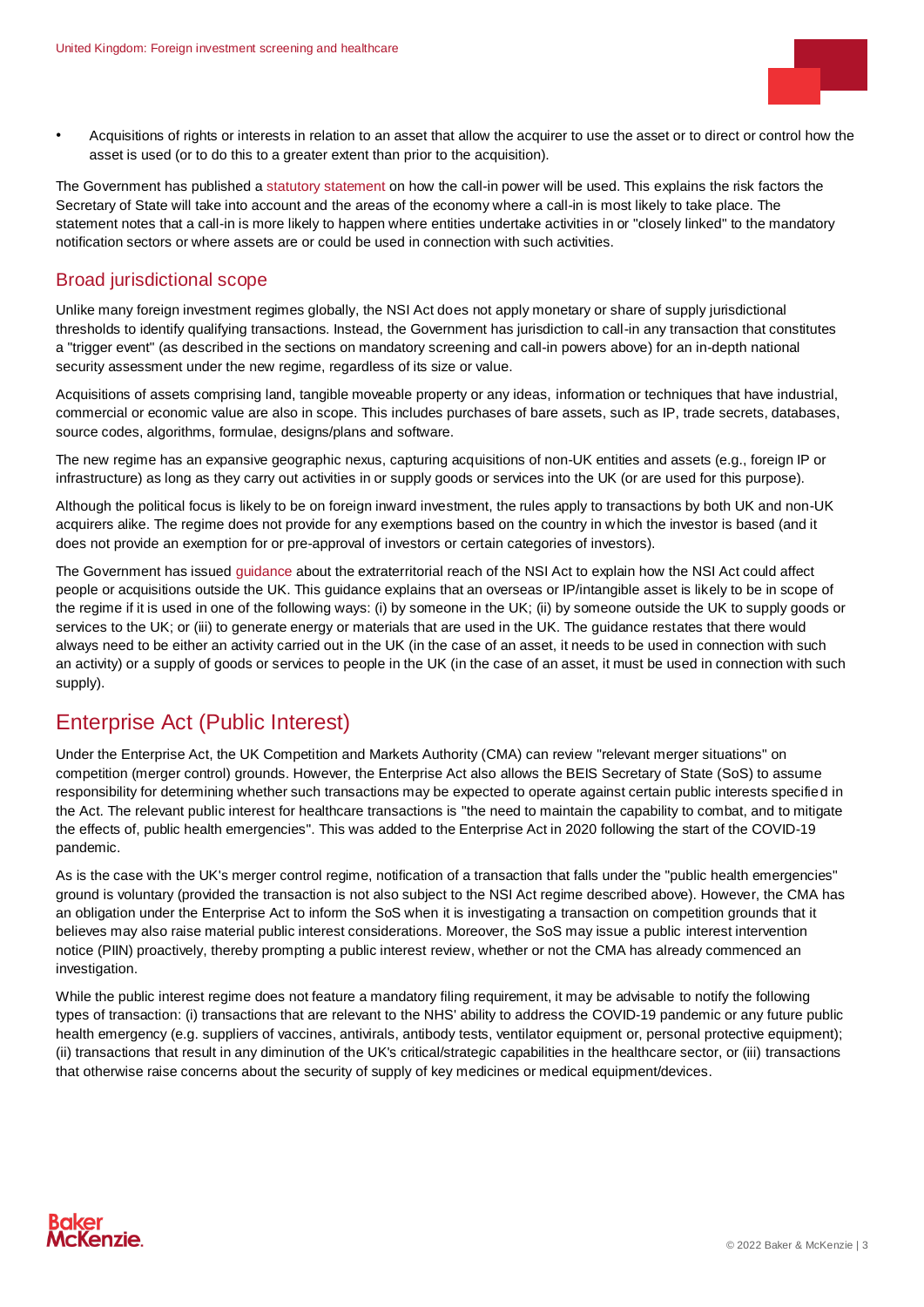

• Acquisitions of rights or interests in relation to an asset that allow the acquirer to use the asset or to direct or control how the asset is used (or to do this to a greater extent than prior to the acquisition).

The Government has published [a statutory statement](https://www.gov.uk/government/publications/national-security-and-investment-statement-about-exercise-of-the-call-in-power/national-security-and-investment-act-2021-statement-for-the-purposes-of-section-3) on how the call-in power will be used. This explains the risk factors the Secretary of State will take into account and the areas of the economy where a call-in is most likely to take place. The statement notes that a call-in is more likely to happen where entities undertake activities in or "closely linked" to the mandatory notification sectors or where assets are or could be used in connection with such activities.

#### Broad jurisdictional scope

Unlike many foreign investment regimes globally, the NSI Act does not apply monetary or share of supply jurisdictional thresholds to identify qualifying transactions. Instead, the Government has jurisdiction to call-in any transaction that constitutes a "trigger event" (as described in the sections on mandatory screening and call-in powers above) for an in-depth national security assessment under the new regime, regardless of its size or value.

Acquisitions of assets comprising land, tangible moveable property or any ideas, information or techniques that have industrial, commercial or economic value are also in scope. This includes purchases of bare assets, such as IP, trade secrets, databases, source codes, algorithms, formulae, designs/plans and software.

The new regime has an expansive geographic nexus, capturing acquisitions of non-UK entities and assets (e.g., foreign IP or infrastructure) as long as they carry out activities in or supply goods or services into the UK (or are used for this purpose).

Although the political focus is likely to be on foreign inward investment, the rules apply to transactions by both UK and non-UK acquirers alike. The regime does not provide for any exemptions based on the country in which the investor is based (and it does not provide an exemption for or pre-approval of investors or certain categories of investors).

The Government has issue[d guidance](https://www.gov.uk/government/publications/check-if-an-acquisition-outside-the-uk-will-be-in-scope-of-the-national-security-and-investment-act/check-if-an-acquisition-of-an-entity-or-asset-outside-the-uk-that-you-are-involved-in-could-be-assessed-by-the-government-for-national-security-risks) about the extraterritorial reach of the NSI Act to explain how the NSI Act could affect people or acquisitions outside the UK. This guidance explains that an overseas or IP/intangible asset is likely to be in scope of the regime if it is used in one of the following ways: (i) by someone in the UK; (ii) by someone outside the UK to supply goods or services to the UK; or (iii) to generate energy or materials that are used in the UK. The guidance restates that there would always need to be either an activity carried out in the UK (in the case of an asset, it needs to be used in connection with such an activity) or a supply of goods or services to people in the UK (in the case of an asset, it must be used in connection with such supply).

### <span id="page-2-0"></span>Enterprise Act (Public Interest)

Under the Enterprise Act, the UK Competition and Markets Authority (CMA) can review "relevant merger situations" on competition (merger control) grounds. However, the Enterprise Act also allows the BEIS Secretary of State (SoS) to assume responsibility for determining whether such transactions may be expected to operate against certain public interests specified in the Act. The relevant public interest for healthcare transactions is "the need to maintain the capability to combat, and to mitigate the effects of, public health emergencies". This was added to the Enterprise Act in 2020 following the start of the COVID-19 pandemic.

As is the case with the UK's merger control regime, notification of a transaction that falls under the "public health emergencies" ground is voluntary (provided the transaction is not also subject to the NSI Act regime described above). However, the CMA has an obligation under the Enterprise Act to inform the SoS when it is investigating a transaction on competition grounds that it believes may also raise material public interest considerations. Moreover, the SoS may issue a public interest intervention notice (PIIN) proactively, thereby prompting a public interest review, whether or not the CMA has already commenced an investigation.

<span id="page-2-1"></span>While the public interest regime does not feature a mandatory filing requirement, it may be advisable to notify the following types of transaction: (i) transactions that are relevant to the NHS' ability to address the COVID-19 pandemic or any future public health emergency (e.g. suppliers of vaccines, antivirals, antibody tests, ventilator equipment or, personal protective equipment); (ii) transactions that result in any diminution of the UK's critical/strategic capabilities in the healthcare sector, or (iii) transactions that otherwise raise concerns about the security of supply of key medicines or medical equipment/devices.

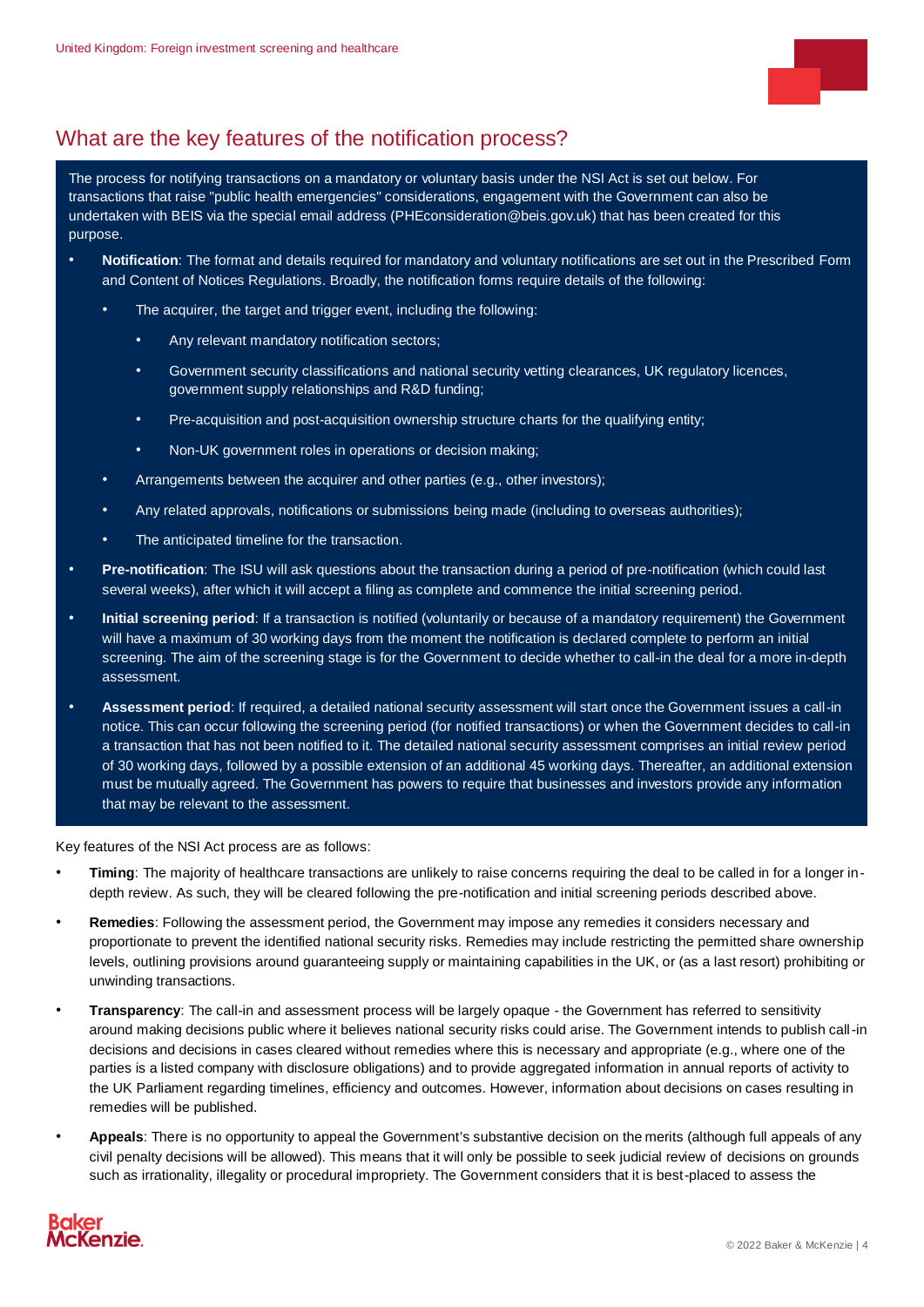

## What are the key features of the notification process?

The process for notifying transactions on a mandatory or voluntary basis under the NSI Act is set out below. For transactions that raise "public health emergencies" considerations, engagement with the Government can also be undertaken with BEIS via the special email address [\(PHEconsideration@beis.gov.uk\)](mailto:PHEconsideration@beis.gov.uk) that has been created for this purpose.

- **Notification**: The format and details required for mandatory and voluntary notifications are set out in the Prescribed Form and Content of Notices Regulations. Broadly, the notification forms require details of the following:
	- The acquirer, the target and trigger event, including the following:
		- Any relevant mandatory notification sectors;
		- Government security classifications and national security vetting clearances, UK regulatory licences, government supply relationships and R&D funding;
		- Pre-acquisition and post-acquisition ownership structure charts for the qualifying entity;
		- Non-UK government roles in operations or decision making;
	- Arrangements between the acquirer and other parties (e.g., other investors);
	- Any related approvals, notifications or submissions being made (including to overseas authorities);
	- The anticipated timeline for the transaction.
- **Pre-notification**: The ISU will ask questions about the transaction during a period of pre-notification (which could last several weeks), after which it will accept a filing as complete and commence the initial screening period.
- **Initial screening period**: If a transaction is notified (voluntarily or because of a mandatory requirement) the Government will have a maximum of 30 working days from the moment the notification is declared complete to perform an initial screening. The aim of the screening stage is for the Government to decide whether to call-in the deal for a more in-depth assessment.
- **Assessment period**: If required, a detailed national security assessment will start once the Government issues a call-in notice. This can occur following the screening period (for notified transactions) or when the Government decides to call-in a transaction that has not been notified to it. The detailed national security assessment comprises an initial review period of 30 working days, followed by a possible extension of an additional 45 working days. Thereafter, an additional extension must be mutually agreed. The Government has powers to require that businesses and investors provide any information that may be relevant to the assessment.

Key features of the NSI Act process are as follows:

- **Timing**: The majority of healthcare transactions are unlikely to raise concerns requiring the deal to be called in for a longer indepth review. As such, they will be cleared following the pre-notification and initial screening periods described above.
- **Remedies**: Following the assessment period, the Government may impose any remedies it considers necessary and proportionate to prevent the identified national security risks. Remedies may include restricting the permitted share ownership levels, outlining provisions around guaranteeing supply or maintaining capabilities in the UK, or (as a last resort) prohibiting or unwinding transactions.
- **Transparency**: The call-in and assessment process will be largely opaque the Government has referred to sensitivity around making decisions public where it believes national security risks could arise. The Government intends to publish call-in decisions and decisions in cases cleared without remedies where this is necessary and appropriate (e.g., where one of the parties is a listed company with disclosure obligations) and to provide aggregated information in annual reports of activity to the UK Parliament regarding timelines, efficiency and outcomes. However, information about decisions on cases resulting in remedies will be published.
- **Appeals**: There is no opportunity to appeal the Government's substantive decision on the merits (although full appeals of any civil penalty decisions will be allowed). This means that it will only be possible to seek judicial review of decisions on grounds such as irrationality, illegality or procedural impropriety. The Government considers that it is best-placed to assess the

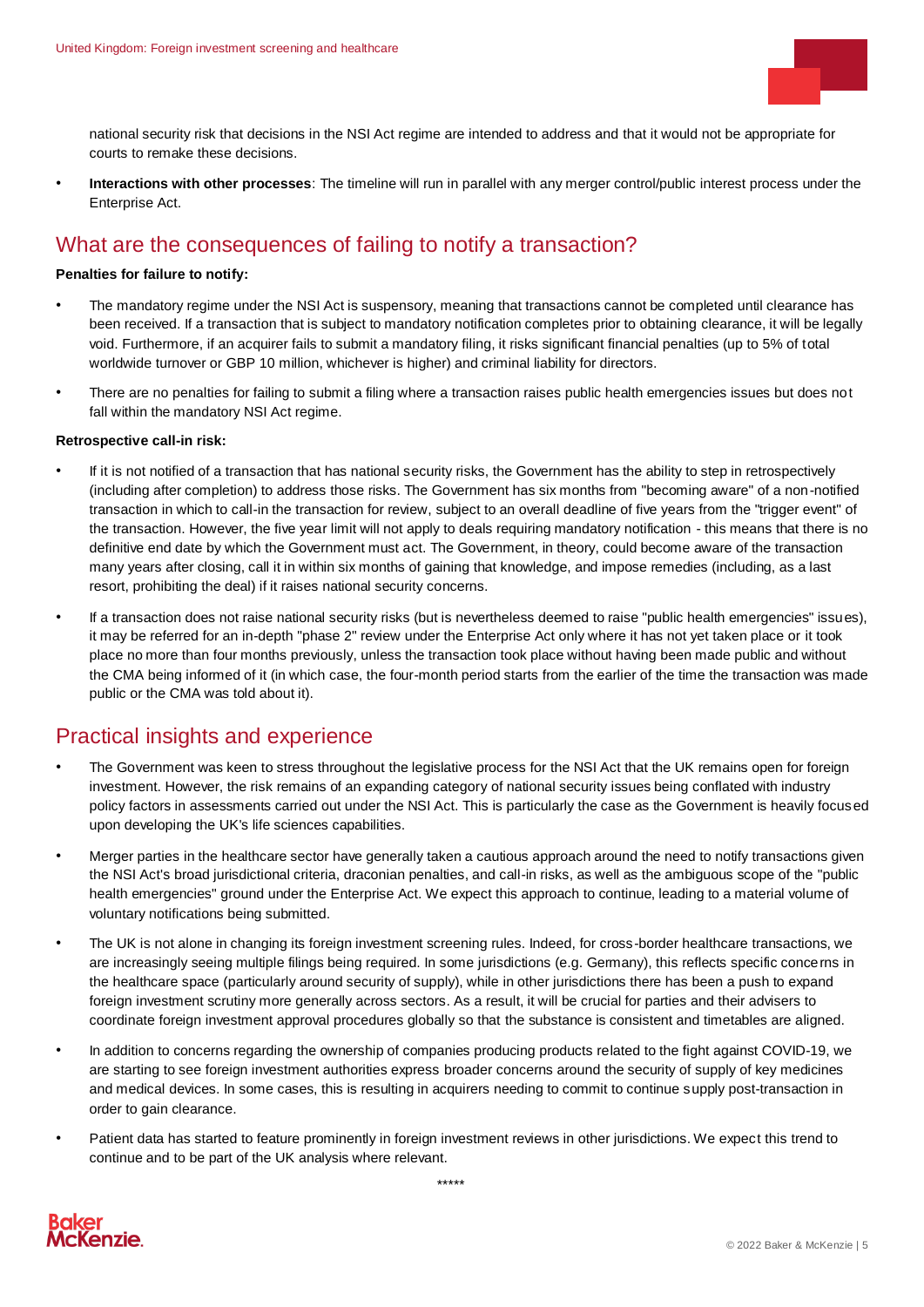

<span id="page-4-0"></span>national security risk that decisions in the NSI Act regime are intended to address and that it would not be appropriate for courts to remake these decisions.

• **Interactions with other processes**: The timeline will run in parallel with any merger control/public interest process under the Enterprise Act.

### What are the consequences of failing to notify a transaction?

#### **Penalties for failure to notify:**

- The mandatory regime under the NSI Act is suspensory, meaning that transactions cannot be completed until clearance has been received. If a transaction that is subject to mandatory notification completes prior to obtaining clearance, it will be legally void. Furthermore, if an acquirer fails to submit a mandatory filing, it risks significant financial penalties (up to 5% of total worldwide turnover or GBP 10 million, whichever is higher) and criminal liability for directors.
- There are no penalties for failing to submit a filing where a transaction raises public health emergencies issues but does not fall within the mandatory NSI Act regime.

#### **Retrospective call-in risk:**

- If it is not notified of a transaction that has national security risks, the Government has the ability to step in retrospectively (including after completion) to address those risks. The Government has six months from "becoming aware" of a non-notified transaction in which to call-in the transaction for review, subject to an overall deadline of five years from the "trigger event" of the transaction. However, the five year limit will not apply to deals requiring mandatory notification - this means that there is no definitive end date by which the Government must act. The Government, in theory, could become aware of the transaction many years after closing, call it in within six months of gaining that knowledge, and impose remedies (including, as a last resort, prohibiting the deal) if it raises national security concerns.
- If a transaction does not raise national security risks (but is nevertheless deemed to raise "public health emergencies" issues), it may be referred for an in-depth "phase 2" review under the Enterprise Act only where it has not yet taken place or it took place no more than four months previously, unless the transaction took place without having been made public and without the CMA being informed of it (in which case, the four-month period starts from the earlier of the time the transaction was made public or the CMA was told about it).

### <span id="page-4-1"></span>Practical insights and experience

- The Government was keen to stress throughout the legislative process for the NSI Act that the UK remains open for foreign investment. However, the risk remains of an expanding category of national security issues being conflated with industry policy factors in assessments carried out under the NSI Act. This is particularly the case as the Government is heavily focused upon developing the UK's life sciences capabilities.
- Merger parties in the healthcare sector have generally taken a cautious approach around the need to notify transactions given the NSI Act's broad jurisdictional criteria, draconian penalties, and call-in risks, as well as the ambiguous scope of the "public health emergencies" ground under the Enterprise Act. We expect this approach to continue, leading to a material volume of voluntary notifications being submitted.
- The UK is not alone in changing its foreign investment screening rules. Indeed, for cross-border healthcare transactions, we are increasingly seeing multiple filings being required. In some jurisdictions (e.g. Germany), this reflects specific concerns in the healthcare space (particularly around security of supply), while in other jurisdictions there has been a push to expand foreign investment scrutiny more generally across sectors. As a result, it will be crucial for parties and their advisers to coordinate foreign investment approval procedures globally so that the substance is consistent and timetables are aligned.
- In addition to concerns regarding the ownership of companies producing products related to the fight against COVID-19, we are starting to see foreign investment authorities express broader concerns around the security of supply of key medicines and medical devices. In some cases, this is resulting in acquirers needing to commit to continue supply post-transaction in order to gain clearance.
- Patient data has started to feature prominently in foreign investment reviews in other jurisdictions. We expect this trend to continue and to be part of the UK analysis where relevant.